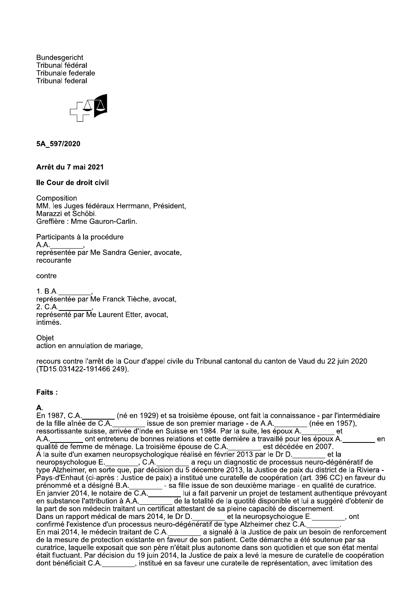**Bundesgericht** Tribunal fédéral Tribunale federale **Tribunal federal** 



#### 5A 597/2020

## Arrêt du 7 mai 2021

#### Ile Cour de droit civil

Composition MM. les Juges fédéraux Herrmann, Président, Marazzi et Schöbi. Greffière : Mme Gauron-Carlin.

Participants à la procédure  $A.A.$ représentée par Me Sandra Genier, avocate. recourante

#### contre

 $1. B.A.$ représentée par Me Franck Tièche, avocat, 2. C.A. représenté par Me Laurent Etter, avocat, intimés.

Objet action en annulation de mariage,

recours contre l'arrêt de la Cour d'appel civile du Tribunal cantonal du canton de Vaud du 22 juin 2020 (TD15.031422-191466 249).

#### Faits:

En 1987, C.A. (né en 1929) et sa troisième épouse, ont fait la connaissance - par l'intermédiaire<br>de la fille aînée de C.A. (né en 1929) et sa troisième épouse, ont fait la connaissance - par l'intermédiaire ressortissante suisse, arrivée d'Inde en Suisse en 1984. Par la suite, les époux A. et ont entretenu de bonnes relations et cette dernière a travaillé pour les époux A. A.A. en qualité de femme de ménage. La troisième épouse de C.A. est décédée en 2007. A la suite d'un examen neuropsychologique réalisé en février 2013 par le Dr D. et la neuropsychologue E.<br>
(C.A. C.A. a reçu un diagnostic de processus neuro-dégénératif de<br>
type Alzheimer, en sorte que, par décision du 5 décembre 2013, la Justice de paix du district de la Riviera -Pays-d'Enhaut (ci-après : Justice de paix) a institué une curatelle de coopération (art. 396 CC) en faveur du prénommé et a désigné B.A.<br>En janvier 2014, le notaire de C.A.<br>En janvier 2014, le notaire de C.A.<br>en janvier 2014, le notaire de C.A.<br>de la totalité de la quotité disponible et lui a suggéré d'obtenir de<br>la part de son mé curatrice, laquelle exposait que son père n'était plus autonome dans son quotidien et que son état mental était fluctuant. Par décision du 19 juin 2014, la Justice de paix a levé la mesure de curatelle de coopération dont bénéficiait C.A. \_\_\_\_\_\_\_, institué en sa faveur une curatelle de représentation, avec limitation des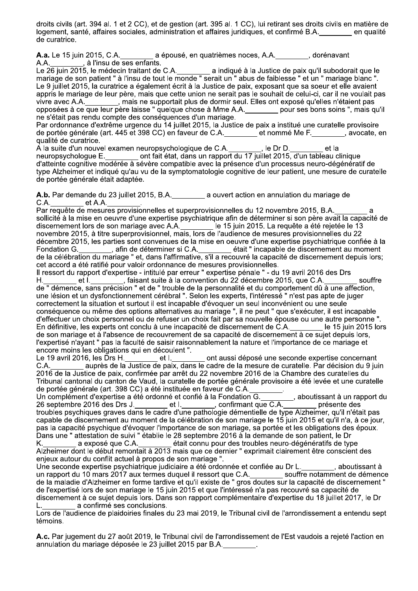droits civils (art. 394 al. 1 et 2 CC), et de gestion (art. 395 al. 1 CC), lui retirant ses droits civils en matière de logement, santé, affaires sociales, administration et affaires juridiques, et confirmé B.A. en qualité de curatrice.

A.a. Le 15 juin 2015, C.A. a épousé, en quatrièmes noces, A.A. (a) dorénavant

A.A.<br>Le 19 juin 2015, le médecin traitant de C.A.<br>Le 26 juin 2015, le médecin traitant de C.A.<br>mariage de son patient " à l'insu de tout le monde " serait un " abus de faiblesse " et un " mariage blanc ". Le 9 juillet 2015, la curatrice a également écrit à la Justice de paix, exposant que sa soeur et elle avaient appris le mariage de leur père, mais que cette union ne serait pas le souhait de celui-ci, car il ne voulait pas de de la conservación de la conservación de la conservación de la conservación de la conservación de la conser<br>opposées à ce que leur père laisse " quelque chose à Mme A.A. \_\_\_\_\_\_\_\_\_ pour ses bons soins ", mais qu'il ne s'était pas rendu compte des conséquences d'un mariage.

Par ordonnance d'extrême urgence du 14 juillet 2015, la Justice de paix a institué une curatelle provisoire de portée générale (art. 445 et 398 CC) en faveur de C.A. \_\_\_\_\_\_\_ et nommé Me F. \_\_\_\_\_\_\_, avocate, en qualité de curatrice.

A la suite d'un nouvel examen neuropsychologique de C.A. \_\_\_\_\_\_\_, le Dr D. \_\_\_\_\_\_ et la<br>neuropsychologue E. \_\_\_\_\_\_\_ ont fait état, dans un rapport du 17 juillet 2015, d'un tableau clinique d'atteinte cognitive modérée à sévère compatible avec la présence d'un processus neuro-dégénératif de type Alzheimer et indiqué qu'au vu de la symptomatologie cognitive de leur patient, une mesure de curatelle de portée générale était adaptée.

A.b. Par demande du 23 juillet 2015, B.A. a ouvert action en annulation du mariage de C.A. et A.A.

Par requête de mesures provisionnelles et superprovisionnelles du 12 novembre 2015, B.A. sollicité à la mise en oeuvre d'une expertise psychiatrique afin de déterminer si son père avait la capacité de discernement lors de son mariage avec A.A.<br>
le 15 juin 2015. La requête a été rejetée le 13<br>
novembre 2015, à titre superprovisionnel, mais, lors de l'audience de mesures provisionnelles du 22 décembre 2015, les parties sont convenues de la mise en oeuvre d'une expertise psychiatrique confiée à la Fondation G. \_\_\_\_\_\_\_, afin de déterminer si C.A. \_\_\_\_\_\_ était " incapable de discernement au moment<br>de la célébration du mariage " et, dans l'affirmative, s'il a recouvré la capacité de discernement depuis lors; cet accord a été ratifié pour valoir ordonnance de mesures provisionnelles.

Il ressort du rapport d'expertise - intitulé par erreur " expertise pénale " - du 19 avril 2016 des Drs  $et L$ \_\_, faisant suite à la convention du 22 décembre 2015, que C.A. Η. souffre de "démence, sans précision " et de " trouble de la personnalité et du comportement dû à une affection, une lésion et un dysfonctionnement cérébral ". Selon les experts, l'intéressé " n'est pas apte de juger correctement la situation et surtout il est incapable d'évoquer un seul inconvénient ou une seule conséquence ou même des options alternatives au mariage ", il ne peut " que s'exécuter, il est incapable<br>d'effectuer un choix personnel ou de refuser un choix fait par sa nouvelle épouse ou une autre personne ' En définitive, les experts ont conclu à une incapacité de discernement de C.A. le 15 juin 2015 lors de son mariage et à l'absence de recouvrement de sa capacité de discernement à ce suiet depuis lors. l'expertisé n'ayant " pas la faculté de saisir raisonnablement la nature et l'importance de ce mariage et<br>encore moins les obligations qui en découlent ".

6, les Drs H. \_\_\_\_\_\_\_\_ et l. \_\_\_\_\_\_\_ ont aussi déposé une seconde expertise concernant<br>auprès de la Justice de paix, dans le cadre de la mesure de curatelle. Par décision du 9 juin Le 19 avril 2016, les Drs H. C.A. 2016 de la Justice de paix, confirmée par arrêt du 22 novembre 2016 de la Chambre des curatelles du Tribunal cantonal du canton de Vaud, la curatelle de portée générale provisoire a été levée et une curatelle de portée générale (art. 398 CC) a été instituée en faveur de C.A.

Un complément d'expertise a été ordonné et confié à la Fondation G. capable de discernement au moment de la célébration de son mariage le 15 juin 2015 et qu'il n'a, à ce jour, pas la capacité psychique d'évoquer l'importance de son mariage, sa portée et les obligations des époux. Dans une " attestation de suivi " établie le 28 septembre 2016 à la demande de son patient, le Dr

K. \_\_\_\_\_\_\_\_\_ a exposé que C.A. \_\_\_\_\_\_\_\_ était connu pour des troubles neuro-dégénératifs de type<br>Alzheimer dont le début remontait à 2013 mais que ce dernier " exprimait clairement être conscient des enieux autour du conflit actuel à propos de son mariage".

, aboutissant à Une seconde expertise psychiatrique judiciaire a été ordonnée et confiée au Dr L. un rapport du 10 mars 2017 aux termes duquel il ressort que C.A.<br>de la maladie d'Alzheimer en forme tardive et qu'il existe de " gros doutes sur la capacité de discernement " de l'expertisé lors de son mariage le 15 juin 2015 et que l'intéressé n'a pas recouvré sa capacité de discernement à ce sujet depuis lors. Dans son rapport complémentaire d'expertise du 18 juillet 2017, le Dr a confirmé ses conclusions.

Lors de l'audience de plaidoiries finales du 23 mai 2019, le Tribunal civil de l'arrondissement a entendu sept témoins.

A.c. Par jugement du 27 août 2019, le Tribunal civil de l'arrondissement de l'Est vaudois a rejeté l'action en annulation du mariage déposée le 23 juillet 2015 par B.A.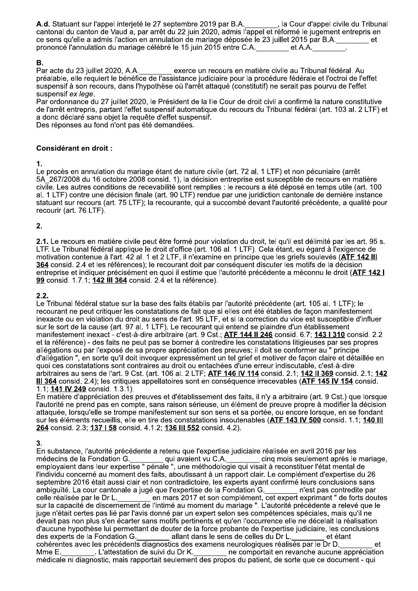A.d. Statuant sur l'appel interjeté le 27 septembre 2019 par B.A. \_\_\_\_\_\_\_, la Cour d'appel civile du Tribunal cantonal du canton de Vaud a, par arrêt du 22 juin 2020, admis l'appel et réformé le jugement entrepris en ce sens qu'elle a admis l'action en annulation de mariage déposée le 23 juillet 2015 par B.A. et et prononcé l'annulation du mariage célébré le 15 juin 2015 entre C.A. et A.A.

### Β.

exerce un recours en matière civile au Tribunal fédéral. Au Par acte du 23 juillet 2020, A.A. préalable, elle requiert le bénéfice de l'assistance judiciaire pour la procédure fédérale et l'octroi de l'effet suspensif à son recours, dans l'hypothèse où l'arrêt attaqué (constitutif) ne serait pas pourvu de l'effet suspensif ex lege.

Par ordonnance du 27 juillet 2020, le Président de la Ile Cour de droit civil a confirmé la nature constitutive de l'arrêt entrepris, partant l'effet suspensif automatique du recours du Tribunal fédéral (art. 103 al. 2 LTF) et a donc déclaré sans objet la requête d'effet suspensif.

Des réponses au fond n'ont pas été demandées.

### **Considérant en droit:**

 $\mathbf 1$ 

Le procès en annulation du mariage étant de nature civile (art. 72 al. 1 LTF) et non pécuniaire (arrêt 5A 267/2008 du 16 octobre 2008 consid. 1), la décision entreprise est susceptible de recours en matière civile. Les autres conditions de recevabilité sont remplies : le recours a été déposé en temps utile (art. 100 al. 1 LTF) contre une décision finale (art. 90 LTF) rendue par une juridiction cantonale de dernière instance statuant sur recours (art. 75 LTF); la recourante, qui a succombé devant l'autorité précédente, a qualité pour recourir (art. 76 LTF).

 $2.$ 

2.1. Le recours en matière civile peut être formé pour violation du droit, tel qu'il est délimité par les art. 95 s. LTF. Le Tribunal fédéral applique le droit d'office (art. 106 al. 1 LTF). Cela étant, eu égard à l'exigence de motivation contenue à l'art. 42 al. 1 et 2 LTF, il n'examine en principe que les griefs soulevés (ATF 142 III 364 consid. 2.4 et les références); le recourant doit par conséquent discuter les motifs de la décision entreprise et indiquer précisément en quoi il estime que l'autorité précédente a méconnu le droit (ATF 142 I 99 consid. 1.7.1; 142 III 364 consid. 2.4 et la référence).

## $2.2.$

Le Tribunal fédéral statue sur la base des faits établis par l'autorité précédente (art. 105 al. 1 LTF); le recourant ne peut critiquer les constatations de fait que si elles ont été établies de façon manifestement inexacte ou en violation du droit au sens de l'art. 95 LTF, et si la correction du vice est susceptible d'influer sur le sort de la cause (art. 97 al. 1 LTF). Le recourant qui entend se plaindre d'un établissement manifestement inexact - c'est-à-dire arbitraire (art. 9 Cst.; ATF 144 II 246 consid. 6.7; 143 I 310 consid. 2.2 et la référence) - des faits ne peut pas se borner à contredire les constatations litigieuses par ses propres allégations ou par l'exposé de sa propre appréciation des preuves; il doit se conformer au " principe d'allégation ", en sorte qu'il doit invoquer expressément un tel grief et motiver de façon claire et détaillée en quoi ces constatations sont contraires au droit ou entachées d'une erreur indiscutable, c'est-à-dire arbitraires au sens de l'art. 9 Cst. (art. 106 al. 2 LTF; ATF 146 IV 114 consid. 2.1; 142 Il 369 consid. 2.1; 142 III 364 consid. 2.4); les critiques appellatoires sont en conséquence irrecevables (ATF 145 IV 154 consid. 1.1; 141 IV 249 consid. 1.3.1).

En matière d'appréciation des preuves et d'établissement des faits, il n'y a arbitraire (art. 9 Cst.) que lorsque l'autorité ne prend pas en compte, sans raison sérieuse, un élément de preuve propre à modifier la décision attaquée, lorsqu'elle se trompe manifestement sur son sens et sa portée, ou encore lorsque, en se fondant sur les éléments recueillis, elle en tire des constatations insoutenables (ATF 143 IV 500 consid. 1.1; 140 III 264 consid. 2.3; 137 | 58 consid. 4.1.2; 136 | 1552 consid. 4.2).

3.

En substance, l'autorité précédente a retenu que l'expertise judiciaire réalisée en avril 2016 par les médecins de la Fondation G. \_\_\_\_\_\_\_\_ qui avaient vu C.A. \_\_\_\_\_\_\_ cinq mois seulement après le manditure dans leur expertise " pénale ", une méthodologie qui visait à reconstituer l'état mental de cing mois seulement après le mariage. l'individu concerné au moment des faits, aboutissant à un rapport clair. Le complément d'expertise du 26 septembre 2016 était aussi clair et non contradictoire, les experts ayant confirmé leurs conclusions sans ambiguïté. La cour cantonale a jugé que l'expertise de la Fondation G. n'est pas contredite par en mars 2017 et son complément, cet expert exprimant " de forts doutes celle réalisée par le Dr L. sur la capacité de discernement de l'intimé au moment du mariage ". L'autorité précédente a relevé que le juge n'était certes pas lié par l'avis donné par un expert selon ses compétences spéciales, mais qu'il ne devait pas non plus s'en écarter sans motifs pertinents et qu'en l'occurrence elle ne décelait la réalisation d'aucune hypothèse lui permettant de douter de la force probante de l'expertise judiciaire, les conclusions des experts de la Fondation G. allant dans le sens de celles du Dr L. et étant des experts de la Tondation G. \_\_\_\_\_\_\_\_\_ aliant dans le seris de celles du Dr L. \_\_\_\_\_\_\_\_\_\_\_\_\_ et el<br>cohérentes avec les précédents diagnostics des examens neurologiques réalisés par le Dr D.  $\mathsf{H}$ L'attestation de suivi du Dr K. et les comportait en revanche aucune appréciation Mme E. médicale ni diagnostic, mais rapportait seulement des propos du patient, de sorte que ce document - qui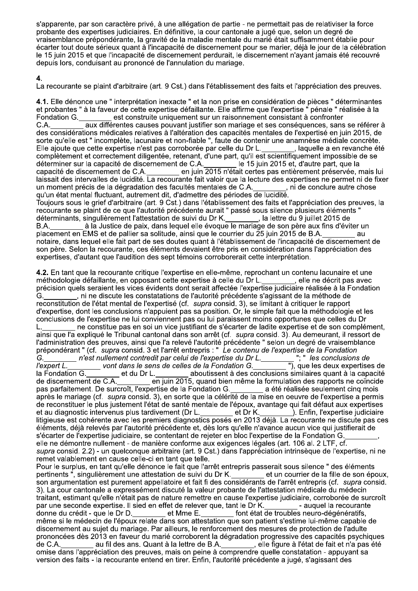s'apparente, par son caractère privé, à une allégation de partie - ne permettait pas de relativiser la force probante des expertises judiciaires. En définitive, la cour cantonale a jugé que, selon un degré de vraisemblance prépondérante, la gravité de la maladie mentale du marié était suffisamment établie pour écarter tout doute sérieux quant à l'incapacité de discernement pour se marier, déjà le jour de la célébration le 15 juin 2015 et que l'incapacité de discernement perdurait, le discernement n'ayant jamais été recouvré depuis lors, conduisant au prononcé de l'annulation du mariage.

## 4

La recourante se plaint d'arbitraire (art. 9 Cst.) dans l'établissement des faits et l'appréciation des preuves.

4.1. Elle dénonce une " interprétation inexacte " et la non prise en considération de pièces " déterminantes et probantes " à la faveur de cette expertise défaillante. Elle affirme que l'expertise " pénale " réalisée à la est construite uniquement sur un raisonnement consistant à confronter Fondation G. aux différentes causes pouvant justifier son mariage et ses conséquences, sans se référer à C.A. des considérations médicales relatives à l'altération des capacités mentales de l'expertisé en juin 2015, de sorte qu'elle est " incomplète, lacunaire et non-fiable ", faute de contenir une anamnèse médiale concrète. Elle ajoute que cette expertise n'est pas corroborée par celle du Dr L. s laquelle a en revanche été complètement et correctement diligentée, retenant, d'une part, qu'il est scientifiquement impossible de se déterminer sur la capacité de discernement de C.A. le 15 juin 2015 et, d'autre part, que la capacité de discernement de C.A. en juin 2015 n'était certes pas entièrement préservée, mais lui laissait des intervalles de lucidité. La recourante fait valoir que la lecture des expertises ne permet ni de fixer , ni de conclure autre chose un moment précis de la dégradation des facultés mentales de C.A. qu'un état mental fluctuant, autrement dit, d'admettre des périodes de lucidité. Toujours sous le grief d'arbitraire (art. 9 Cst.) dans l'établissement des faits et l'appréciation des preuves, la recourante se plaint de ce que l'autorité précédente aurait " passé sous silence plusieurs éléments ' déterminants, singulièrement l'attestation de suivi du Dr K. , la lettre du 9 juillet 2015 de à la Justice de paix, dans lequel elle évoque le mariage de son père aux fins d'éviter un B.A.

placement en EMS et de pallier sa solitude, ainsi que le courrier du 25 juin 2015 de B.A. notaire, dans lequel elle fait part de ses doutes quant à l'établissement de l'incapacité de discernement de son père. Selon la recourante, ces éléments devaient être pris en considération dans l'appréciation des expertises, d'autant que l'audition des sept témoins corroborerait cette interprétation.

4.2. En tant que la recourante critique l'expertise en elle-même, reprochant un contenu lacunaire et une selle ne décrit pas avec méthodologie défaillante, en opposant cette expertise à celle du Dr L. précision quels seraient les vices évidents dont serait affectée l'expertise judiciaire réalisée à la Fondation , ni ne discute les constatations de l'autorité précédente s'agissant de la méthode de G. reconstitution de l'état mental de l'expertisé (cf. supra consid. 3), se limitant à critiquer le rapport d'expertise, dont les conclusions n'appuient pas sa position. Or, le simple fait que la méthodologie et les conclusions de l'expertise ne lui conviennent pas ou lui paraissent moins opportunes que celles du Dr ne constitue pas en soi un vice justifiant de s'écarter de ladite expertise et de son complément, Ι. ainsi que l'a expliqué le Tribunal cantonal dans son arrêt (cf. supra consid. 3). Au demeurant, il ressort de l'administration des preuves, ainsi que l'a relevé l'autorité précédente " selon un degré de vraisemblance prépondérant " (cf. supra consid. 3 et l'arrêt entrepris : " Le contenu de l'expertise de la Fondation ": " les conclusions de G. (a) when the contractions are in the monography of the monography in the monography in the monography in the m<br>in the same of the same in the same in the same in the same in the same in the same in the same in the same in  $\_\_$  vont dans le sens de celles de la Fondation G.  $\_$  $l'$ expert L. aboutissent à des conclusions similaires quant à la capacité la Fondation G. et du Dr L. en juin 2015, quand bien même la formulation des rapports ne coïncide de discernement de C.A. pas parfaitement. De surcroît, l'expertise de la Fondation G. a été réalisée seulement cinq mois après le mariage (cf. supra consid. 3), en sorte que la célérité de la mise en oeuvre de l'expertise a permis de reconstituer le plus justement l'état de santé mentale de l'époux, avantage qui fait défaut aux expertises et au diagnostic intervenus plus tardivement (Dr L. et Dr K. ). Enfin, l'expertise judiciaire litigieuse est cohérente avec les premiers diagnostics posés en 2013 déjà. La recourante ne discute pas ces éléments, déjà relevés par l'autorité précédente et, dès lors qu'elle n'avance aucun vice qui justifierait de s'écarter de l'expertise judiciaire, se contentant de rejeter en bloc l'expertise de la Fondation G. elle ne démontre nullement - de manière conforme aux exigences légales (art. 106 al. 2 LTF, cf. supra consid. 2.2) - un quelconque arbitraire (art. 9 Cst.) dans l'appréciation intrinsèque de l'expertise, ni ne remet valablement en cause celle-ci en tant que telle. Pour le surplus, en tant qu'elle dénonce le fait que l'arrêt entrepris passerait sous silence " des éléments et un courrier de la fille de son époux. pertinents", singulièrement une attestation de suivi du Dr K. son argumentation est purement appellatoire et fait fi des considérants de l'arrêt entrepris (cf. supra consid. 3). La cour cantonale a expressément discuté la valeur probante de l'attestation médicale du médecin traitant, estimant qu'elle n'était pas de nature remettre en cause l'expertise judiciaire, corroborée de surcroît par une seconde expertise. Il sied en effet de relever que, tant le Dr K. - auguel la recourante donne du crédit - que le Dr D. et Mme E. font état de troubles neuro-dégénératifs, même si le médecin de l'époux relate dans son attestation que son patient s'estime lui-même capable de discernement au sujet du mariage. Par ailleurs, le renforcement des mesures de protection de l'adulte prononcées dès 2013 en faveur du marié corroborent la dégradation progressive des capacités psychiques de C.A. au fil des ans. Quant à la lettre de B.A. , elle figure à l'état de fait et n'a pas été omise dans l'appréciation des preuves, mais on peine à comprendre quelle constatation - appuyant sa version des faits - la recourante entend en tirer. Enfin, l'autorité précédente a jugé, s'agissant des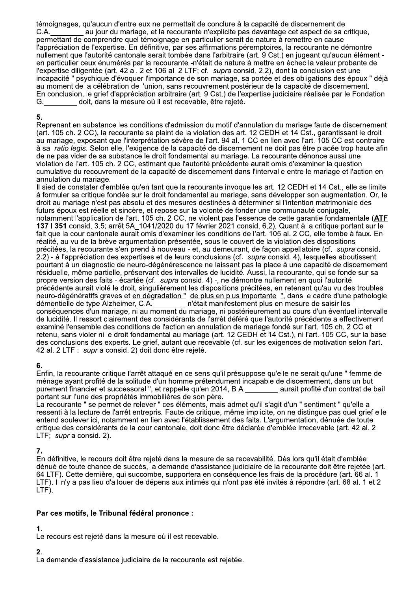témoignages, qu'aucun d'entre eux ne permettait de conclure à la capacité de discernement de au jour du mariage, et la recourante n'explicite pas davantage cet aspect de sa critique,  $C.A.$ permettant de comprendre quel témoignage en particulier serait de nature à remettre en cause l'appréciation de l'expertise. En définitive, par ses affirmations péremptoires, la recourante ne démontre nullement que l'autorité cantonale serait tombée dans l'arbitraire (art. 9 Cst.) en jugeant qu'aucun élément en particulier ceux énumérés par la recourante -n'était de nature à mettre en échec la valeur probante de l'expertise diligentée (art. 42 al. 2 et 106 al. 2 LTF; cf. supra consid. 2.2), dont la conclusion est une incapacité " psychique d'évoquer l'importance de son mariage, sa portée et des obligations des époux " déjà au moment de la célébration de l'union, sans recouvrement postérieur de la capacité de discernement. En conclusion, le grief d'appréciation arbitraire (art. 9 Cst.) de l'expertise judiciaire réalisée par le Fondation G. doit, dans la mesure où il est recevable, être rejeté.

### 5.

Reprenant en substance les conditions d'admission du motif d'annulation du mariage faute de discernement (art. 105 ch. 2 CC), la recourante se plaint de la violation des art. 12 CEDH et 14 Cst., garantissant le droit au mariage, exposant que l'interprétation sévère de l'art. 94 al. 1 CC en lien avec l'art. 105 CC est contraire à sa ratio legis. Selon elle, l'exigence de la capacité de discernement ne doit pas être placée trop haute afin de ne pas vider de sa substance le droit fondamental au mariage. La recourante dénonce aussi une violation de l'art. 105 ch. 2 CC, estimant que l'autorité précédente aurait omis d'examiner la question cumulative du recouvrement de la capacité de discernement dans l'intervalle entre le mariage et l'action en annulation du mariage.

Il sied de constater d'emblée qu'en tant que la recourante invoque les art. 12 CEDH et 14 Cst., elle se limite à formuler sa critique fondée sur le droit fondamental au mariage, sans développer son augmentation. Or, le droit au mariage n'est pas absolu et des mesures destinées à déterminer si l'intention matrimoniale des futurs époux est réelle et sincère, et repose sur la volonté de fonder une communauté conjugale, notamment l'application de l'art. 105 ch. 2 CC, ne violent pas l'essence de cette garantie fondamentale (ATF 137 I 351 consid. 3.5; arrêt 5A\_1041/2020 du 17 février 2021 consid. 6.2). Quant à la critique portant sur le fait que la cour cantonale aurait omis d'examiner les conditions de l'art. 105 al. 2 CC, elle tombe à faux. En réalité, au vu de la brève argumentation présentée, sous le couvert de la violation des dispositions précitées, la recourante s'en prend à nouveau - et, au demeurant, de façon appellatoire (cf. supra consid. 2.2) - à l'appréciation des expertises et de leurs conclusions (cf. supra consid. 4), lesquelles aboutissent pourtant à un diagnostic de neuro-dégénérescence ne laissant pas la place à une capacité de discernement résiduelle, même partielle, préservant des intervalles de lucidité. Aussi, la recourante, qui se fonde sur sa propre version des faits - écartée (cf. supra consid. 4) -, ne démontre nullement en quoi l'autorité précédente aurait violé le droit, singulièrement les dispositions précitées, en retenant qu'au vu des troubles neuro-dégénératifs graves et en dégradation " de plus en plus importante ", dans le cadre d'une pathologie démentielle de type Alzheimer, C.A. inclusion d'était manifestement plus en mesure de saisir les<br>conséquences d'un mariage, ni au moment du mariage, ni postérieurement au cours d'un éventuel intervalle de lucidité. Il ressort clairement des considérants de l'arrêt déféré que l'autorité précédente a effectivement examiné l'ensemble des conditions de l'action en annulation de mariage fondé sur l'art. 105 ch. 2 CC et retenu, sans violer ni le droit fondamental au mariage (art. 12 CEDH et 14 Cst.), ni l'art. 105 CC, sur la base des conclusions des experts. Le grief, autant que recevable (cf. sur les exigences de motivation selon l'art. 42 al. 2 LTF : supr a consid. 2) doit donc être rejeté.

# 6.

Enfin, la recourante critique l'arrêt attaqué en ce sens qu'il présuppose qu'elle ne serait qu'une " femme de ménage ayant profité de la solitude d'un homme prétendument incapable de discernement, dans un but purement financier et successoral ", et rappelle qu'en 2014, B.A. aurait profité d'un contrat de bail portant sur l'une des propriétés immobilières de son père.

La recourante " se permet de relever " ces éléments, mais admet qu'il s'agit d'un " sentiment " qu'elle a ressenti à la lecture de l'arrêt entrepris. Faute de critique, même implicite, on ne distingue pas quel grief elle entend soulever ici, notamment en lien avec l'établissement des faits. L'argumentation, dénuée de toute critique des considérants de la cour cantonale, doit donc être déclarée d'emblée irrecevable (art. 42 al. 2  $LTF$ : supr a consid. 2).

## 7.

En définitive, le recours doit être rejeté dans la mesure de sa recevabilité. Dès lors qu'il était d'emblée dénué de toute chance de succès, la demande d'assistance judiciaire de la recourante doit être rejetée (art. 64 LTF). Cette dernière, qui succombe, supportera en conséquence les frais de la procédure (art. 66 al. 1 LTF). Il n'y a pas lieu d'allouer de dépens aux intimés qui n'ont pas été invités à répondre (art. 68 al. 1 et 2 LTF).

# Par ces motifs, le Tribunal fédéral prononce :

## $\mathbf 1$

Le recours est rejeté dans la mesure où il est recevable.

# $2.$

La demande d'assistance judiciaire de la recourante est rejetée.